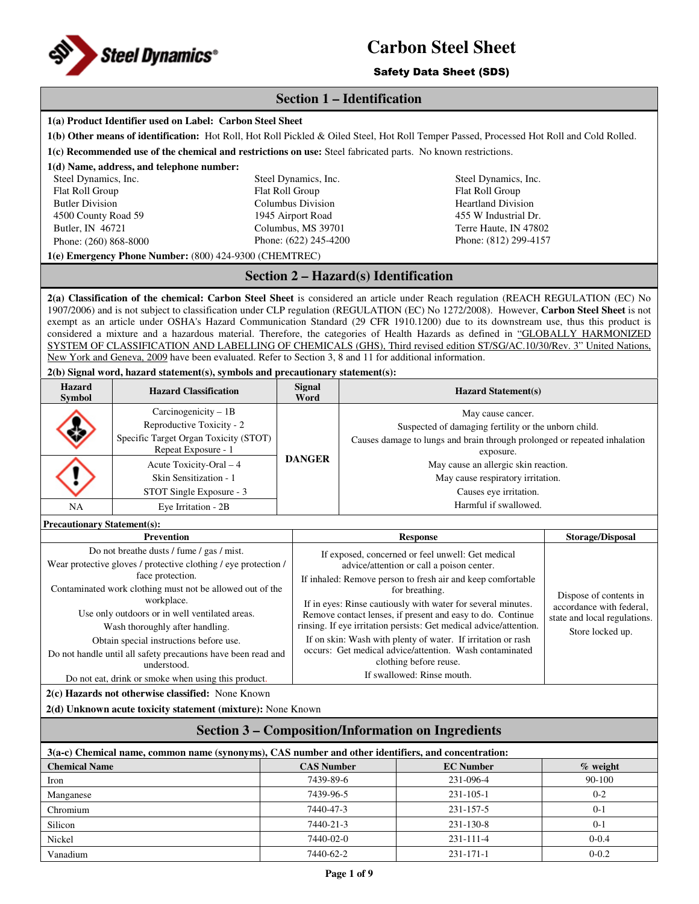

## Safety Data Sheet (SDS)

## **Section 1 – Identification**

|                                                                                                    | 1(a) Product Identifier used on Label: Carbon Steel Sheet                                                                                                                                                                                                                                                                                                                                                          |                                                             |                                                                                                                                  |                                                      |                                                    |  |  |
|----------------------------------------------------------------------------------------------------|--------------------------------------------------------------------------------------------------------------------------------------------------------------------------------------------------------------------------------------------------------------------------------------------------------------------------------------------------------------------------------------------------------------------|-------------------------------------------------------------|----------------------------------------------------------------------------------------------------------------------------------|------------------------------------------------------|----------------------------------------------------|--|--|
|                                                                                                    | 1(b) Other means of identification: Hot Roll, Hot Roll Pickled & Oiled Steel, Hot Roll Temper Passed, Processed Hot Roll and Cold Rolled.                                                                                                                                                                                                                                                                          |                                                             |                                                                                                                                  |                                                      |                                                    |  |  |
|                                                                                                    | 1(c) Recommended use of the chemical and restrictions on use: Steel fabricated parts. No known restrictions.                                                                                                                                                                                                                                                                                                       |                                                             |                                                                                                                                  |                                                      |                                                    |  |  |
|                                                                                                    | 1(d) Name, address, and telephone number:                                                                                                                                                                                                                                                                                                                                                                          |                                                             |                                                                                                                                  |                                                      |                                                    |  |  |
| Steel Dynamics, Inc.                                                                               |                                                                                                                                                                                                                                                                                                                                                                                                                    | Steel Dynamics, Inc.                                        |                                                                                                                                  | Steel Dynamics, Inc.                                 |                                                    |  |  |
| Flat Roll Group                                                                                    |                                                                                                                                                                                                                                                                                                                                                                                                                    | Flat Roll Group                                             |                                                                                                                                  | Flat Roll Group                                      |                                                    |  |  |
| <b>Butler Division</b>                                                                             |                                                                                                                                                                                                                                                                                                                                                                                                                    | <b>Columbus Division</b>                                    |                                                                                                                                  | <b>Heartland Division</b>                            |                                                    |  |  |
| 4500 County Road 59<br>Butler, IN 46721                                                            |                                                                                                                                                                                                                                                                                                                                                                                                                    | 1945 Airport Road<br>Columbus, MS 39701                     |                                                                                                                                  | 455 W Industrial Dr.<br>Terre Haute, IN 47802        |                                                    |  |  |
| Phone: (260) 868-8000                                                                              |                                                                                                                                                                                                                                                                                                                                                                                                                    | Phone: (622) 245-4200                                       |                                                                                                                                  | Phone: (812) 299-4157                                |                                                    |  |  |
|                                                                                                    | 1(e) Emergency Phone Number: (800) 424-9300 (CHEMTREC)                                                                                                                                                                                                                                                                                                                                                             |                                                             |                                                                                                                                  |                                                      |                                                    |  |  |
|                                                                                                    |                                                                                                                                                                                                                                                                                                                                                                                                                    |                                                             | Section 2 – Hazard(s) Identification                                                                                             |                                                      |                                                    |  |  |
|                                                                                                    | 2(a) Classification of the chemical: Carbon Steel Sheet is considered an article under Reach regulation (REACH REGULATION (EC) No<br>1907/2006) and is not subject to classification under CLP regulation (REGULATION (EC) No 1272/2008). However, Carbon Steel Sheet is not<br>exempt as an article under OSHA's Hazard Communication Standard (29 CFR 1910.1200) due to its downstream use, thus this product is |                                                             |                                                                                                                                  |                                                      |                                                    |  |  |
|                                                                                                    | considered a mixture and a hazardous material. Therefore, the categories of Health Hazards as defined in "GLOBALLY HARMONIZED<br>SYSTEM OF CLASSIFICATION AND LABELLING OF CHEMICALS (GHS), Third revised edition ST/SG/AC.10/30/Rev. 3" United Nations,                                                                                                                                                           |                                                             |                                                                                                                                  |                                                      |                                                    |  |  |
|                                                                                                    | New York and Geneva, 2009 have been evaluated. Refer to Section 3, 8 and 11 for additional information.                                                                                                                                                                                                                                                                                                            |                                                             |                                                                                                                                  |                                                      |                                                    |  |  |
|                                                                                                    | 2(b) Signal word, hazard statement(s), symbols and precautionary statement(s):                                                                                                                                                                                                                                                                                                                                     |                                                             |                                                                                                                                  |                                                      |                                                    |  |  |
| Hazard<br>Symbol                                                                                   | <b>Hazard Classification</b>                                                                                                                                                                                                                                                                                                                                                                                       | <b>Signal</b><br>Word                                       |                                                                                                                                  | <b>Hazard Statement(s)</b>                           |                                                    |  |  |
|                                                                                                    | Carcinogenicity - 1B                                                                                                                                                                                                                                                                                                                                                                                               |                                                             |                                                                                                                                  | May cause cancer.                                    |                                                    |  |  |
|                                                                                                    | Reproductive Toxicity - 2                                                                                                                                                                                                                                                                                                                                                                                          |                                                             |                                                                                                                                  | Suspected of damaging fertility or the unborn child. |                                                    |  |  |
|                                                                                                    | Specific Target Organ Toxicity (STOT)<br>Repeat Exposure - 1                                                                                                                                                                                                                                                                                                                                                       | <b>DANGER</b>                                               | Causes damage to lungs and brain through prolonged or repeated inhalation                                                        | exposure.                                            |                                                    |  |  |
|                                                                                                    | Acute Toxicity-Oral - 4                                                                                                                                                                                                                                                                                                                                                                                            |                                                             |                                                                                                                                  | May cause an allergic skin reaction.                 |                                                    |  |  |
|                                                                                                    | Skin Sensitization - 1                                                                                                                                                                                                                                                                                                                                                                                             |                                                             |                                                                                                                                  | May cause respiratory irritation.                    |                                                    |  |  |
|                                                                                                    | STOT Single Exposure - 3                                                                                                                                                                                                                                                                                                                                                                                           |                                                             |                                                                                                                                  | Causes eye irritation.                               |                                                    |  |  |
| NA                                                                                                 | Eye Irritation - 2B                                                                                                                                                                                                                                                                                                                                                                                                |                                                             |                                                                                                                                  | Harmful if swallowed.                                |                                                    |  |  |
| <b>Precautionary Statement(s):</b>                                                                 |                                                                                                                                                                                                                                                                                                                                                                                                                    |                                                             |                                                                                                                                  |                                                      |                                                    |  |  |
|                                                                                                    | <b>Prevention</b><br><b>Response</b><br><b>Storage/Disposal</b>                                                                                                                                                                                                                                                                                                                                                    |                                                             |                                                                                                                                  |                                                      |                                                    |  |  |
|                                                                                                    | Do not breathe dusts / fume / gas / mist.                                                                                                                                                                                                                                                                                                                                                                          |                                                             | If exposed, concerned or feel unwell: Get medical<br>advice/attention or call a poison center.                                   |                                                      |                                                    |  |  |
|                                                                                                    | Wear protective gloves / protective clothing / eye protection /<br>face protection.                                                                                                                                                                                                                                                                                                                                | If inhaled: Remove person to fresh air and keep comfortable |                                                                                                                                  |                                                      |                                                    |  |  |
|                                                                                                    | Contaminated work clothing must not be allowed out of the<br>workplace.                                                                                                                                                                                                                                                                                                                                            |                                                             | for breathing.<br>If in eyes: Rinse cautiously with water for several minutes.                                                   |                                                      | Dispose of contents in<br>accordance with federal, |  |  |
|                                                                                                    | Use only outdoors or in well ventilated areas.<br>Wash thoroughly after handling.                                                                                                                                                                                                                                                                                                                                  |                                                             | Remove contact lenses, if present and easy to do. Continue<br>rinsing. If eye irritation persists: Get medical advice/attention. |                                                      | state and local regulations.                       |  |  |
|                                                                                                    | Obtain special instructions before use.                                                                                                                                                                                                                                                                                                                                                                            |                                                             | If on skin: Wash with plenty of water. If irritation or rash                                                                     |                                                      | Store locked up.                                   |  |  |
|                                                                                                    | Do not handle until all safety precautions have been read and<br>understood.                                                                                                                                                                                                                                                                                                                                       |                                                             | occurs: Get medical advice/attention. Wash contaminated<br>clothing before reuse.                                                |                                                      |                                                    |  |  |
|                                                                                                    | Do not eat, drink or smoke when using this product.                                                                                                                                                                                                                                                                                                                                                                |                                                             | If swallowed: Rinse mouth.                                                                                                       |                                                      |                                                    |  |  |
|                                                                                                    | 2(c) Hazards not otherwise classified: None Known                                                                                                                                                                                                                                                                                                                                                                  |                                                             |                                                                                                                                  |                                                      |                                                    |  |  |
|                                                                                                    | 2(d) Unknown acute toxicity statement (mixture): None Known                                                                                                                                                                                                                                                                                                                                                        |                                                             |                                                                                                                                  |                                                      |                                                    |  |  |
| <b>Section 3 – Composition/Information on Ingredients</b>                                          |                                                                                                                                                                                                                                                                                                                                                                                                                    |                                                             |                                                                                                                                  |                                                      |                                                    |  |  |
| 3(a-c) Chemical name, common name (synonyms), CAS number and other identifiers, and concentration: |                                                                                                                                                                                                                                                                                                                                                                                                                    |                                                             |                                                                                                                                  |                                                      |                                                    |  |  |
| <b>Chemical Name</b>                                                                               |                                                                                                                                                                                                                                                                                                                                                                                                                    | <b>CAS Number</b>                                           |                                                                                                                                  | <b>EC</b> Number                                     | % weight                                           |  |  |
| Iron                                                                                               |                                                                                                                                                                                                                                                                                                                                                                                                                    | 7439-89-6                                                   |                                                                                                                                  | 231-096-4                                            | 90-100                                             |  |  |
| Manganese                                                                                          |                                                                                                                                                                                                                                                                                                                                                                                                                    | 7439-96-5                                                   |                                                                                                                                  | 231-105-1                                            | $0 - 2$                                            |  |  |
| Chromium                                                                                           |                                                                                                                                                                                                                                                                                                                                                                                                                    | 7440-47-3                                                   |                                                                                                                                  | 231-157-5                                            | $0 - 1$                                            |  |  |
| Silicon                                                                                            |                                                                                                                                                                                                                                                                                                                                                                                                                    | 7440-21-3                                                   |                                                                                                                                  | 231-130-8                                            | $0 - 1$                                            |  |  |
| Nickel                                                                                             |                                                                                                                                                                                                                                                                                                                                                                                                                    | 7440-02-0                                                   |                                                                                                                                  | 231-111-4                                            | $0 - 0.4$                                          |  |  |
| Vanadium                                                                                           |                                                                                                                                                                                                                                                                                                                                                                                                                    | 7440-62-2                                                   |                                                                                                                                  | 231-171-1                                            | $0 - 0.2$                                          |  |  |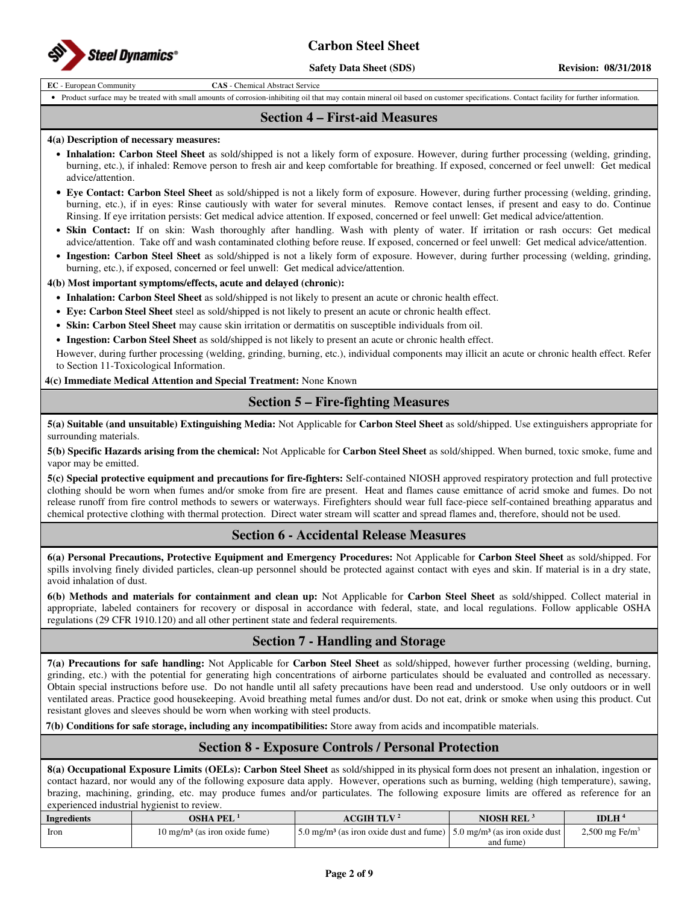

**Safety Data Sheet (SDS)** Revision: 08/31/2018

**EC** - European Community **CAS** - Chemical Abstract Service

• Product surface may be treated with small amounts of corrosion-inhibiting oil that may contain mineral oil based on customer specifications. Contact facility for further information.

## **Section 4 – First-aid Measures**

#### **4(a) Description of necessary measures:**

- **Inhalation: Carbon Steel Sheet** as sold/shipped is not a likely form of exposure. However, during further processing (welding, grinding, burning, etc.), if inhaled: Remove person to fresh air and keep comfortable for breathing. If exposed, concerned or feel unwell: Get medical advice/attention.
- **Eye Contact: Carbon Steel Sheet** as sold/shipped is not a likely form of exposure. However, during further processing (welding, grinding, burning, etc.), if in eyes: Rinse cautiously with water for several minutes. Remove contact lenses, if present and easy to do. Continue Rinsing. If eye irritation persists: Get medical advice attention. If exposed, concerned or feel unwell: Get medical advice/attention.
- **Skin Contact:** If on skin: Wash thoroughly after handling. Wash with plenty of water. If irritation or rash occurs: Get medical advice/attention. Take off and wash contaminated clothing before reuse. If exposed, concerned or feel unwell: Get medical advice/attention.
- **Ingestion: Carbon Steel Sheet** as sold/shipped is not a likely form of exposure. However, during further processing (welding, grinding, burning, etc.), if exposed, concerned or feel unwell: Get medical advice/attention.

#### **4(b) Most important symptoms/effects, acute and delayed (chronic):**

- **Inhalation: Carbon Steel Sheet** as sold/shipped is not likely to present an acute or chronic health effect.
- **Eye: Carbon Steel Sheet** steel as sold/shipped is not likely to present an acute or chronic health effect.
- **Skin: Carbon Steel Sheet** may cause skin irritation or dermatitis on susceptible individuals from oil.

• **Ingestion: Carbon Steel Sheet** as sold/shipped is not likely to present an acute or chronic health effect.

However, during further processing (welding, grinding, burning, etc.), individual components may illicit an acute or chronic health effect. Refer to Section 11-Toxicological Information.

**4(c) Immediate Medical Attention and Special Treatment:** None Known

## **Section 5 – Fire-fighting Measures**

**5(a) Suitable (and unsuitable) Extinguishing Media:** Not Applicable for **Carbon Steel Sheet** as sold/shipped. Use extinguishers appropriate for surrounding materials.

**5(b) Specific Hazards arising from the chemical:** Not Applicable for **Carbon Steel Sheet** as sold/shipped. When burned, toxic smoke, fume and vapor may be emitted.

**5(c) Special protective equipment and precautions for fire-fighters:** Self-contained NIOSH approved respiratory protection and full protective clothing should be worn when fumes and/or smoke from fire are present. Heat and flames cause emittance of acrid smoke and fumes. Do not release runoff from fire control methods to sewers or waterways. Firefighters should wear full face-piece self-contained breathing apparatus and chemical protective clothing with thermal protection. Direct water stream will scatter and spread flames and, therefore, should not be used.

## **Section 6 - Accidental Release Measures**

**6(a) Personal Precautions, Protective Equipment and Emergency Procedures:** Not Applicable for **Carbon Steel Sheet** as sold/shipped. For spills involving finely divided particles, clean-up personnel should be protected against contact with eyes and skin. If material is in a dry state, avoid inhalation of dust.

**6(b) Methods and materials for containment and clean up:** Not Applicable for **Carbon Steel Sheet** as sold/shipped. Collect material in appropriate, labeled containers for recovery or disposal in accordance with federal, state, and local regulations. Follow applicable OSHA regulations (29 CFR 1910.120) and all other pertinent state and federal requirements.

## **Section 7 - Handling and Storage**

**7(a) Precautions for safe handling:** Not Applicable for **Carbon Steel Sheet** as sold/shipped, however further processing (welding, burning, grinding, etc.) with the potential for generating high concentrations of airborne particulates should be evaluated and controlled as necessary. Obtain special instructions before use. Do not handle until all safety precautions have been read and understood. Use only outdoors or in well ventilated areas. Practice good housekeeping. Avoid breathing metal fumes and/or dust. Do not eat, drink or smoke when using this product. Cut resistant gloves and sleeves should be worn when working with steel products.

**7(b) Conditions for safe storage, including any incompatibilities:** Store away from acids and incompatible materials.

## **Section 8 - Exposure Controls / Personal Protection**

**8(a) Occupational Exposure Limits (OELs): Carbon Steel Sheet** as sold/shipped in its physical form does not present an inhalation, ingestion or contact hazard, nor would any of the following exposure data apply. However, operations such as burning, welding (high temperature), sawing, brazing, machining, grinding, etc. may produce fumes and/or particulates. The following exposure limits are offered as reference for an experienced industrial hygienist to review.

| Ingredients | <b>OSHA PEL</b>                          | <b>ACGIH TLV<sup>2</sup></b>                                                                         | <b>NIOSH REL</b> | IDLH $4$                   |
|-------------|------------------------------------------|------------------------------------------------------------------------------------------------------|------------------|----------------------------|
| <b>Iron</b> | $10 \text{ me/m}^3$ (as iron oxide fume) | 5.0 mg/m <sup>3</sup> (as iron oxide dust and fume) $\frac{5.0 \text{ mg}}{m^3}$ (as iron oxide dust |                  | 2,500 mg Fe/m <sup>3</sup> |
|             |                                          |                                                                                                      | and fume)        |                            |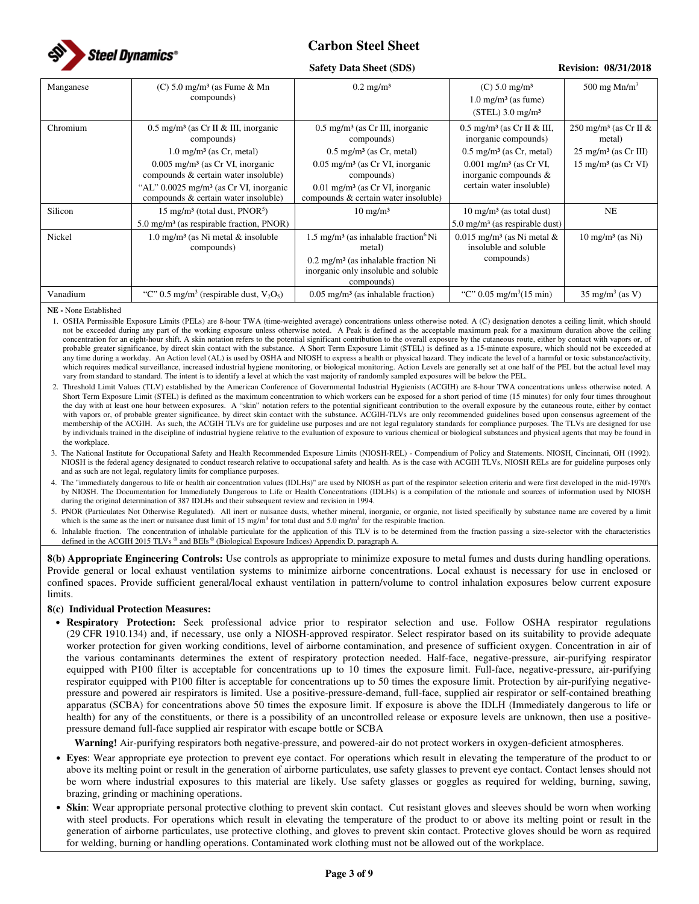

#### **Safety Data Sheet (SDS) Revision: 08/31/2018**

| Manganese | $(C)$ 5.0 mg/m <sup>3</sup> (as Fume & Mn<br>compounds)                                                      | $0.2 \text{ mg/m}^3$                                                                                                                                                             | $(C) 5.0$ mg/m <sup>3</sup><br>$1.0 \text{ mg/m}^3$ (as fume)<br>$(STEL)$ 3.0 mg/m <sup>3</sup>         | 500 mg $Mn/m3$                                                                 |
|-----------|--------------------------------------------------------------------------------------------------------------|----------------------------------------------------------------------------------------------------------------------------------------------------------------------------------|---------------------------------------------------------------------------------------------------------|--------------------------------------------------------------------------------|
| Chromium  | $0.5$ mg/m <sup>3</sup> (as Cr II & III, inorganic<br>compounds)<br>$1.0 \text{ mg/m}^3$ (as Cr, metal)      | $0.5 \text{ mg/m}^3$ (as Cr III, inorganic<br>compounds)<br>$0.5 \text{ mg/m}^3$ (as Cr, metal)                                                                                  | $0.5$ mg/m <sup>3</sup> (as Cr II & III,<br>inorganic compounds)<br>$0.5 \text{ mg/m}^3$ (as Cr, metal) | 250 mg/m <sup>3</sup> (as Cr II &<br>metal)<br>$25 \text{ mg/m}^3$ (as Cr III) |
|           | $0.005$ mg/m <sup>3</sup> (as Cr VI, inorganic<br>compounds & certain water insoluble)                       | $0.05$ mg/m <sup>3</sup> (as Cr VI, inorganic<br>compounds)                                                                                                                      | $0.001$ mg/m <sup>3</sup> (as Cr VI,<br>inorganic compounds &                                           | $15 \text{ mg/m}^3$ (as Cr VI)                                                 |
|           | "AL" $0.0025$ mg/m <sup>3</sup> (as Cr VI, inorganic<br>compounds & certain water insoluble)                 | $0.01$ mg/m <sup>3</sup> (as Cr VI, inorganic<br>compounds & certain water insoluble)                                                                                            | certain water insoluble)                                                                                |                                                                                |
| Silicon   | 15 mg/m <sup>3</sup> (total dust, PNOR <sup>5</sup> )<br>$5.0 \text{ mg/m}^3$ (as respirable fraction, PNOR) | $10 \text{ mg/m}^3$                                                                                                                                                              | $10 \text{ mg/m}^3$ (as total dust)<br>$5.0 \text{ mg/m}^3$ (as respirable dust)                        | NE                                                                             |
| Nickel    | $1.0 \text{ mg/m}^3$ (as Ni metal & insoluble<br>compounds)                                                  | $1.5 \text{ mg/m}^3$ (as inhalable fraction <sup>6</sup> Ni<br>metal)<br>$0.2$ mg/m <sup>3</sup> (as inhalable fraction Ni<br>inorganic only insoluble and soluble<br>compounds) | $0.015$ mg/m <sup>3</sup> (as Ni metal &<br>insoluble and soluble<br>compounds)                         | $10 \text{ mg/m}^3$ (as Ni)                                                    |
| Vanadium  | "C" 0.5 mg/m <sup>3</sup> (respirable dust, $V_2O_5$ )                                                       | $0.05$ mg/m <sup>3</sup> (as inhalable fraction)                                                                                                                                 | "C" $0.05 \text{ mg/m}^3(15 \text{ min})$                                                               | $35 \text{ mg/m}^3 \text{ (as V)}$                                             |

**NE -** None Established

1. OSHA Permissible Exposure Limits (PELs) are 8-hour TWA (time-weighted average) concentrations unless otherwise noted. A (C) designation denotes a ceiling limit, which should not be exceeded during any part of the working exposure unless otherwise noted. A Peak is defined as the acceptable maximum peak for a maximum duration above the ceiling concentration for an eight-hour shift. A skin notation refers to the potential significant contribution to the overall exposure by the cutaneous route, either by contact with vapors or, of probable greater significance, by direct skin contact with the substance. A Short Term Exposure Limit (STEL) is defined as a 15-minute exposure, which should not be exceeded at any time during a workday. An Action level (AL) is used by OSHA and NIOSH to express a health or physical hazard. They indicate the level of a harmful or toxic substance/activity, which requires medical surveillance, increased industrial hygiene monitoring, or biological monitoring. Action Levels are generally set at one half of the PEL but the actual level may vary from standard to standard. The intent is to identify a level at which the vast majority of randomly sampled exposures will be below the PEL.

2. Threshold Limit Values (TLV) established by the American Conference of Governmental Industrial Hygienists (ACGIH) are 8-hour TWA concentrations unless otherwise noted. A Short Term Exposure Limit (STEL) is defined as the maximum concentration to which workers can be exposed for a short period of time (15 minutes) for only four times throughout the day with at least one hour between exposures. A "skin" notation refers to the potential significant contribution to the overall exposure by the cutaneous route, either by contact with vapors or, of probable greater significance, by direct skin contact with the substance. ACGIH-TLVs are only recommended guidelines based upon consensus agreement of the membership of the ACGIH. As such, the ACGIH TLVs are for guideline use purposes and are not legal regulatory standards for compliance purposes. The TLVs are designed for use by individuals trained in the discipline of industrial hygiene relative to the evaluation of exposure to various chemical or biological substances and physical agents that may be found in the workplace.

3. The National Institute for Occupational Safety and Health Recommended Exposure Limits (NIOSH-REL) - Compendium of Policy and Statements. NIOSH, Cincinnati, OH (1992). NIOSH is the federal agency designated to conduct research relative to occupational safety and health. As is the case with ACGIH TLVs, NIOSH RELs are for guideline purposes only and as such are not legal, regulatory limits for compliance purposes.

4. The "immediately dangerous to life or health air concentration values (IDLHs)" are used by NIOSH as part of the respirator selection criteria and were first developed in the mid-1970's by NIOSH. The Documentation for Immediately Dangerous to Life or Health Concentrations (IDLHs) is a compilation of the rationale and sources of information used by NIOSH during the original determination of 387 IDLHs and their subsequent review and revision in 1994.

5. PNOR (Particulates Not Otherwise Regulated). All inert or nuisance dusts, whether mineral, inorganic, or organic, not listed specifically by substance name are covered by a limit which is the same as the inert or nuisance dust limit of 15 mg/m<sup>3</sup> for total dust and 5.0 mg/m<sup>3</sup> for the respirable fraction.

6. Inhalable fraction. The concentration of inhalable particulate for the application of this TLV is to be determined from the fraction passing a size-selector with the characteristics defined in the ACGIH 2015 TLVs ® and BEIs ® (Biological Exposure Indices) Appendix D, paragraph A

**8(b) Appropriate Engineering Controls:** Use controls as appropriate to minimize exposure to metal fumes and dusts during handling operations. Provide general or local exhaust ventilation systems to minimize airborne concentrations. Local exhaust is necessary for use in enclosed or confined spaces. Provide sufficient general/local exhaust ventilation in pattern/volume to control inhalation exposures below current exposure limits.

#### **8(c) Individual Protection Measures:**

• **Respiratory Protection:** Seek professional advice prior to respirator selection and use. Follow OSHA respirator regulations (29 CFR 1910.134) and, if necessary, use only a NIOSH-approved respirator. Select respirator based on its suitability to provide adequate worker protection for given working conditions, level of airborne contamination, and presence of sufficient oxygen. Concentration in air of the various contaminants determines the extent of respiratory protection needed. Half-face, negative-pressure, air-purifying respirator equipped with P100 filter is acceptable for concentrations up to 10 times the exposure limit. Full-face, negative-pressure, air-purifying respirator equipped with P100 filter is acceptable for concentrations up to 50 times the exposure limit. Protection by air-purifying negativepressure and powered air respirators is limited. Use a positive-pressure-demand, full-face, supplied air respirator or self-contained breathing apparatus (SCBA) for concentrations above 50 times the exposure limit. If exposure is above the IDLH (Immediately dangerous to life or health) for any of the constituents, or there is a possibility of an uncontrolled release or exposure levels are unknown, then use a positivepressure demand full-face supplied air respirator with escape bottle or SCBA

**Warning!** Air-purifying respirators both negative-pressure, and powered-air do not protect workers in oxygen-deficient atmospheres.

- **Eyes**: Wear appropriate eye protection to prevent eye contact. For operations which result in elevating the temperature of the product to or above its melting point or result in the generation of airborne particulates, use safety glasses to prevent eye contact. Contact lenses should not be worn where industrial exposures to this material are likely. Use safety glasses or goggles as required for welding, burning, sawing, brazing, grinding or machining operations.
- **Skin**: Wear appropriate personal protective clothing to prevent skin contact. Cut resistant gloves and sleeves should be worn when working with steel products. For operations which result in elevating the temperature of the product to or above its melting point or result in the generation of airborne particulates, use protective clothing, and gloves to prevent skin contact. Protective gloves should be worn as required for welding, burning or handling operations. Contaminated work clothing must not be allowed out of the workplace.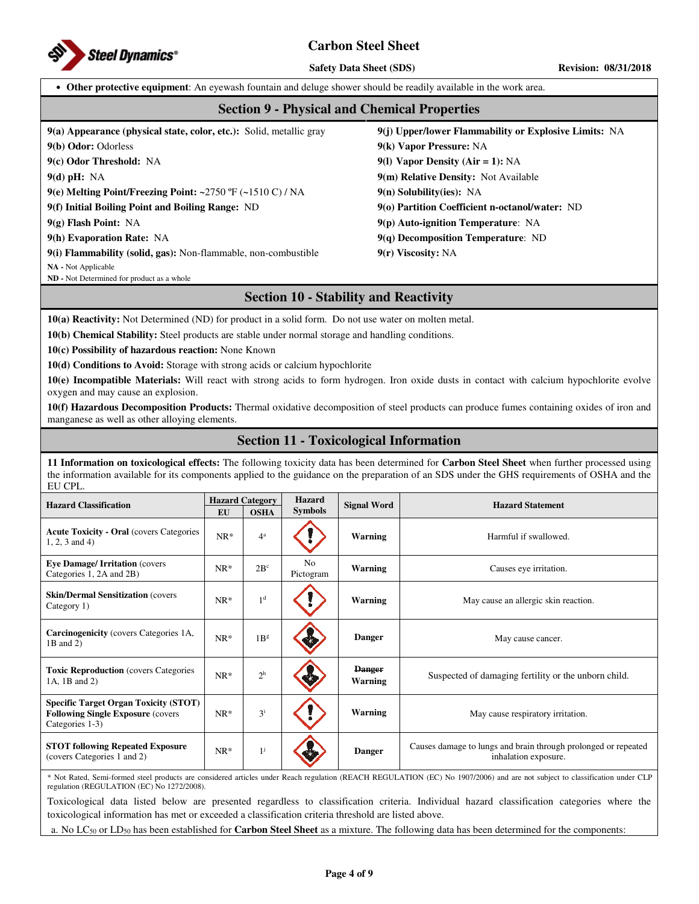

**Safety Data Sheet (SDS)** Revision: 08/31/2018

• **Other protective equipment**: An eyewash fountain and deluge shower should be readily available in the work area.

### **Section 9 - Physical and Chemical Properties**

**9(a) Appearance (physical state, color, etc.):** Solid, metallic gray **9(j) Upper/lower Flammability or Explosive Limits:** NA

**9(b) Odor:** Odorless **9(k) Vapor Pressure:** NA

**9(c) Odor Threshold:** NA **9(l) Vapor Density (Air = 1):** NA

**9(d) pH:** NA **9(m) Relative Density:** Not Available

**9(e) Melting Point/Freezing Point: ~**2750 ºF (**~**1510 C) / NA **9(n) Solubility(ies):** NA

**9(f) Initial Boiling Point and Boiling Range:** ND **9(o) Partition Coefficient n-octanol/water:** ND

**9(g) Flash Point:** NA **9(p) Auto-ignition Temperature**: NA

**9(h) Evaporation Rate:** NA **9(q) Decomposition Temperature**: ND

**9(i) Flammability (solid, gas):** Non-flammable, non-combustible **9(r) Viscosity:** NA **NA -** Not Applicable

**ND -** Not Determined for product as a whole

## **Section 10 - Stability and Reactivity**

**10(a) Reactivity:** Not Determined (ND) for product in a solid form. Do not use water on molten metal.

**10(b) Chemical Stability:** Steel products are stable under normal storage and handling conditions.

**10(c) Possibility of hazardous reaction:** None Known

**10(d) Conditions to Avoid:** Storage with strong acids or calcium hypochlorite

**10(e) Incompatible Materials:** Will react with strong acids to form hydrogen. Iron oxide dusts in contact with calcium hypochlorite evolve oxygen and may cause an explosion.

**10(f) Hazardous Decomposition Products:** Thermal oxidative decomposition of steel products can produce fumes containing oxides of iron and manganese as well as other alloying elements.

## **Section 11 - Toxicological Information**

**11 Information on toxicological effects:** The following toxicity data has been determined for **Carbon Steel Sheet** when further processed using the information available for its components applied to the guidance on the preparation of an SDS under the GHS requirements of OSHA and the EU CPL.

| <b>Hazard Classification</b>                                                                                 | <b>Hazard Category</b> |                 | <b>Hazard</b>               | <b>Signal Word</b>       | <b>Hazard Statement</b>                                                                |  |
|--------------------------------------------------------------------------------------------------------------|------------------------|-----------------|-----------------------------|--------------------------|----------------------------------------------------------------------------------------|--|
|                                                                                                              | <b>EU</b>              | <b>OSHA</b>     | <b>Symbols</b>              |                          |                                                                                        |  |
| <b>Acute Toxicity - Oral (covers Categories)</b><br>$1, 2, 3$ and 4)                                         | $NR*$                  | $4^a$           |                             | <b>Warning</b>           | Harmful if swallowed.                                                                  |  |
| <b>Eye Damage/Irritation (covers)</b><br>Categories 1, 2A and 2B)                                            | $NR*$                  | $2B^c$          | N <sub>0</sub><br>Pictogram | <b>Warning</b>           | Causes eye irritation.                                                                 |  |
| <b>Skin/Dermal Sensitization (covers)</b><br>Category 1)                                                     | $NR^*$                 | 1 <sup>d</sup>  |                             | <b>Warning</b>           | May cause an allergic skin reaction.                                                   |  |
| <b>Carcinogenicity</b> (covers Categories 1A,<br>1B and 2)                                                   | $NR*$                  | 1B <sup>g</sup> |                             | <b>Danger</b>            | May cause cancer.                                                                      |  |
| <b>Toxic Reproduction</b> (covers Categories)<br>1A, 1B and 2)                                               | $NR^*$                 | 2 <sup>h</sup>  |                             | <b>Danger</b><br>Warning | Suspected of damaging fertility or the unborn child.                                   |  |
| <b>Specific Target Organ Toxicity (STOT)</b><br><b>Following Single Exposure (covers)</b><br>Categories 1-3) | $NR^*$                 | $3^{i}$         |                             | <b>Warning</b>           | May cause respiratory irritation.                                                      |  |
| <b>STOT following Repeated Exposure</b><br>(covers Categories 1 and 2)                                       | $NR*$                  | $1^{j}$         |                             | <b>Danger</b>            | Causes damage to lungs and brain through prolonged or repeated<br>inhalation exposure. |  |

\* Not Rated, Semi-formed steel products are considered articles under Reach regulation (REACH REGULATION (EC) No 1907/2006) and are not subject to classification under CLP regulation (REGULATION (EC) No 1272/2008).

Toxicological data listed below are presented regardless to classification criteria. Individual hazard classification categories where the toxicological information has met or exceeded a classification criteria threshold are listed above.

a. No LC<sup>50</sup> or LD<sup>50</sup> has been established for **Carbon Steel Sheet** as a mixture. The following data has been determined for the components: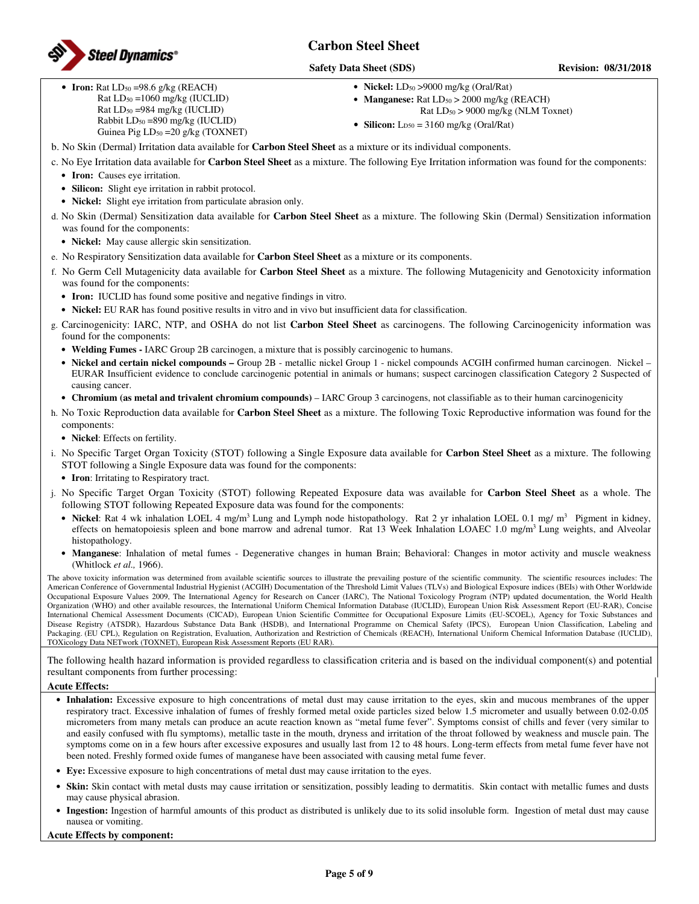

#### **Safety Data Sheet (SDS)** Revision: 08/31/2018

• **Iron:**  $Rat LD<sub>50</sub> = 98.6 g/kg (REACH)$ Rat LD50 =1060 mg/kg (IUCLID) Rat LD50 =984 mg/kg (IUCLID) Rabbit LD50 =890 mg/kg (IUCLID) Guinea Pig LD<sub>50</sub> = 20 g/kg (TOXNET) • **Nickel:** LD<sub>50</sub> > 9000 mg/kg (Oral/Rat)

- **Manganese:** Rat  $LD_{50} > 2000$  mg/kg (REACH)
	- Rat LD50 > 9000 mg/kg (NLM Toxnet)
- **Silicon:**  $L_{D50} = 3160$  mg/kg (Oral/Rat)
- b. No Skin (Dermal) Irritation data available for **Carbon Steel Sheet** as a mixture or its individual components.
- c. No Eye Irritation data available for **Carbon Steel Sheet** as a mixture. The following Eye Irritation information was found for the components:
	- **Iron:** Causes eye irritation.
	- **Silicon:** Slight eye irritation in rabbit protocol.
	- **Nickel:** Slight eye irritation from particulate abrasion only.
- d. No Skin (Dermal) Sensitization data available for **Carbon Steel Sheet** as a mixture. The following Skin (Dermal) Sensitization information was found for the components:
	- **Nickel:** May cause allergic skin sensitization.
- e. No Respiratory Sensitization data available for **Carbon Steel Sheet** as a mixture or its components.
- f. No Germ Cell Mutagenicity data available for **Carbon Steel Sheet** as a mixture. The following Mutagenicity and Genotoxicity information was found for the components:
	- **Iron:** IUCLID has found some positive and negative findings in vitro.
	- **Nickel:** EU RAR has found positive results in vitro and in vivo but insufficient data for classification.
- g. Carcinogenicity: IARC, NTP, and OSHA do not list **Carbon Steel Sheet** as carcinogens. The following Carcinogenicity information was found for the components:
	- **Welding Fumes -** IARC Group 2B carcinogen, a mixture that is possibly carcinogenic to humans.
	- **Nickel and certain nickel compounds** Group 2B metallic nickel Group 1 nickel compounds ACGIH confirmed human carcinogen. Nickel EURAR Insufficient evidence to conclude carcinogenic potential in animals or humans; suspect carcinogen classification Category 2 Suspected of causing cancer.
	- **Chromium (as metal and trivalent chromium compounds)**  IARC Group 3 carcinogens, not classifiable as to their human carcinogenicity
- h. No Toxic Reproduction data available for **Carbon Steel Sheet** as a mixture. The following Toxic Reproductive information was found for the components:
	- **Nickel**: Effects on fertility.
- i. No Specific Target Organ Toxicity (STOT) following a Single Exposure data available for **Carbon Steel Sheet** as a mixture. The following STOT following a Single Exposure data was found for the components:
	- **Iron**: Irritating to Respiratory tract.
- j. No Specific Target Organ Toxicity (STOT) following Repeated Exposure data was available for **Carbon Steel Sheet** as a whole. The following STOT following Repeated Exposure data was found for the components:
	- **Nickel**: Rat 4 wk inhalation LOEL 4 mg/m<sup>3</sup> Lung and Lymph node histopathology. Rat 2 yr inhalation LOEL 0.1 mg/ m<sup>3</sup> Pigment in kidney, effects on hematopoiesis spleen and bone marrow and adrenal tumor. Rat 13 Week Inhalation LOAEC 1.0 mg/m<sup>3</sup> Lung weights, and Alveolar histopathology.
	- **Manganese**: Inhalation of metal fumes Degenerative changes in human Brain; Behavioral: Changes in motor activity and muscle weakness (Whitlock *et al.,* 1966).

The above toxicity information was determined from available scientific sources to illustrate the prevailing posture of the scientific community. The scientific resources includes: The American Conference of Governmental Industrial Hygienist (ACGIH) Documentation of the Threshold Limit Values (TLVs) and Biological Exposure indices (BEIs) with Other Worldwide Occupational Exposure Values 2009, The International Agency for Research on Cancer (IARC), The National Toxicology Program (NTP) updated documentation, the World Health Organization (WHO) and other available resources, the International Uniform Chemical Information Database (IUCLID), European Union Risk Assessment Report (EU-RAR), Concise International Chemical Assessment Documents (CICAD), European Union Scientific Committee for Occupational Exposure Limits (EU-SCOEL), Agency for Toxic Substances and Disease Registry (ATSDR), Hazardous Substance Data Bank (HSDB), and International Programme on Chemical Safety (IPCS), European Union Classification, Labeling and Packaging. (EU CPL), Regulation on Registration, Evaluation, Authorization and Restriction of Chemicals (REACH), International Uniform Chemical Information Database (IUCLID), TOXicology Data NETwork (TOXNET), European Risk Assessment Reports (EU RAR).

The following health hazard information is provided regardless to classification criteria and is based on the individual component(s) and potential resultant components from further processing:

#### **Acute Effects:**

- **Inhalation:** Excessive exposure to high concentrations of metal dust may cause irritation to the eyes, skin and mucous membranes of the upper respiratory tract. Excessive inhalation of fumes of freshly formed metal oxide particles sized below 1.5 micrometer and usually between 0.02-0.05 micrometers from many metals can produce an acute reaction known as "metal fume fever". Symptoms consist of chills and fever (very similar to and easily confused with flu symptoms), metallic taste in the mouth, dryness and irritation of the throat followed by weakness and muscle pain. The symptoms come on in a few hours after excessive exposures and usually last from 12 to 48 hours. Long-term effects from metal fume fever have not been noted. Freshly formed oxide fumes of manganese have been associated with causing metal fume fever.
- **Eye:** Excessive exposure to high concentrations of metal dust may cause irritation to the eyes.
- **Skin:** Skin contact with metal dusts may cause irritation or sensitization, possibly leading to dermatitis. Skin contact with metallic fumes and dusts may cause physical abrasion.
- **Ingestion:** Ingestion of harmful amounts of this product as distributed is unlikely due to its solid insoluble form. Ingestion of metal dust may cause nausea or vomiting.

#### **Acute Effects by component:**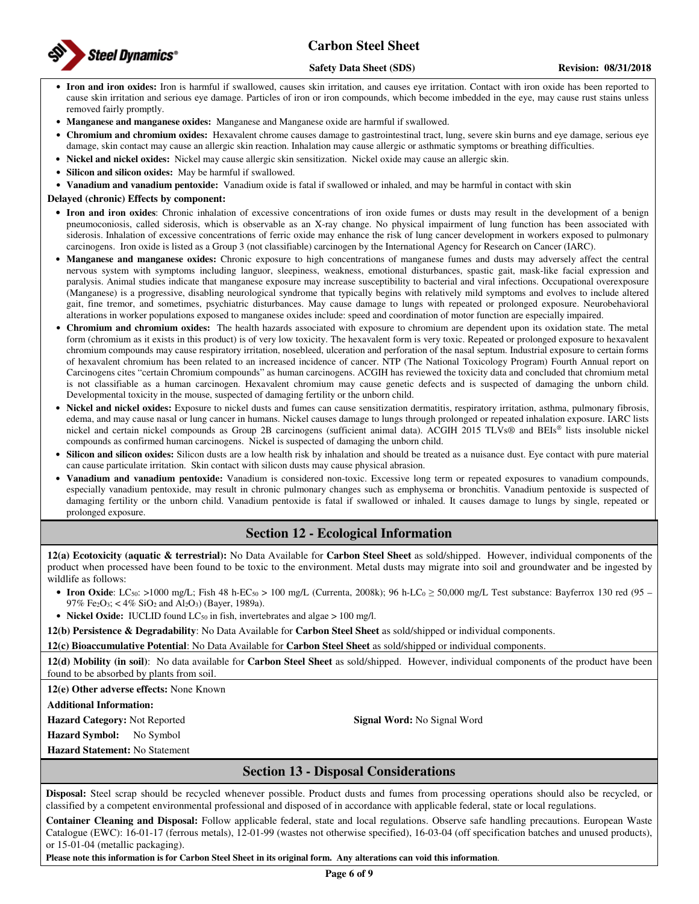

#### **Safety Data Sheet (SDS)** Revision: 08/31/2018

- **Iron and iron oxides:** Iron is harmful if swallowed, causes skin irritation, and causes eye irritation. Contact with iron oxide has been reported to cause skin irritation and serious eye damage. Particles of iron or iron compounds, which become imbedded in the eye, may cause rust stains unless removed fairly promptly.
- **Manganese and manganese oxides:** Manganese and Manganese oxide are harmful if swallowed.
- **Chromium and chromium oxides:** Hexavalent chrome causes damage to gastrointestinal tract, lung, severe skin burns and eye damage, serious eye damage, skin contact may cause an allergic skin reaction. Inhalation may cause allergic or asthmatic symptoms or breathing difficulties.
- **Nickel and nickel oxides:** Nickel may cause allergic skin sensitization. Nickel oxide may cause an allergic skin.
- **Silicon and silicon oxides:** May be harmful if swallowed.
- **Vanadium and vanadium pentoxide:** Vanadium oxide is fatal if swallowed or inhaled, and may be harmful in contact with skin

**Delayed (chronic) Effects by component:** 

- **Iron and iron oxides**: Chronic inhalation of excessive concentrations of iron oxide fumes or dusts may result in the development of a benign pneumoconiosis, called siderosis, which is observable as an X-ray change. No physical impairment of lung function has been associated with siderosis. Inhalation of excessive concentrations of ferric oxide may enhance the risk of lung cancer development in workers exposed to pulmonary carcinogens. Iron oxide is listed as a Group 3 (not classifiable) carcinogen by the International Agency for Research on Cancer (IARC).
- **Manganese and manganese oxides:** Chronic exposure to high concentrations of manganese fumes and dusts may adversely affect the central nervous system with symptoms including languor, sleepiness, weakness, emotional disturbances, spastic gait, mask-like facial expression and paralysis. Animal studies indicate that manganese exposure may increase susceptibility to bacterial and viral infections. Occupational overexposure (Manganese) is a progressive, disabling neurological syndrome that typically begins with relatively mild symptoms and evolves to include altered gait, fine tremor, and sometimes, psychiatric disturbances. May cause damage to lungs with repeated or prolonged exposure. Neurobehavioral alterations in worker populations exposed to manganese oxides include: speed and coordination of motor function are especially impaired.
- **Chromium and chromium oxides:** The health hazards associated with exposure to chromium are dependent upon its oxidation state. The metal form (chromium as it exists in this product) is of very low toxicity. The hexavalent form is very toxic. Repeated or prolonged exposure to hexavalent chromium compounds may cause respiratory irritation, nosebleed, ulceration and perforation of the nasal septum. Industrial exposure to certain forms of hexavalent chromium has been related to an increased incidence of cancer. NTP (The National Toxicology Program) Fourth Annual report on Carcinogens cites "certain Chromium compounds" as human carcinogens. ACGIH has reviewed the toxicity data and concluded that chromium metal is not classifiable as a human carcinogen. Hexavalent chromium may cause genetic defects and is suspected of damaging the unborn child. Developmental toxicity in the mouse, suspected of damaging fertility or the unborn child.
- **Nickel and nickel oxides:** Exposure to nickel dusts and fumes can cause sensitization dermatitis, respiratory irritation, asthma, pulmonary fibrosis, edema, and may cause nasal or lung cancer in humans. Nickel causes damage to lungs through prolonged or repeated inhalation exposure. IARC lists nickel and certain nickel compounds as Group 2B carcinogens (sufficient animal data). ACGIH 2015 TLVs® and BEIs® lists insoluble nickel compounds as confirmed human carcinogens. Nickel is suspected of damaging the unborn child.
- **Silicon and silicon oxides:** Silicon dusts are a low health risk by inhalation and should be treated as a nuisance dust. Eye contact with pure material can cause particulate irritation. Skin contact with silicon dusts may cause physical abrasion.
- **Vanadium and vanadium pentoxide:** Vanadium is considered non-toxic. Excessive long term or repeated exposures to vanadium compounds, especially vanadium pentoxide, may result in chronic pulmonary changes such as emphysema or bronchitis. Vanadium pentoxide is suspected of damaging fertility or the unborn child. Vanadium pentoxide is fatal if swallowed or inhaled. It causes damage to lungs by single, repeated or prolonged exposure.

## **Section 12 - Ecological Information**

**12(a) Ecotoxicity (aquatic & terrestrial):** No Data Available for **Carbon Steel Sheet** as sold/shipped. However, individual components of the product when processed have been found to be toxic to the environment. Metal dusts may migrate into soil and groundwater and be ingested by wildlife as follows:

- Iron Oxide: LC<sub>50</sub>: >1000 mg/L; Fish 48 h-EC<sub>50</sub> > 100 mg/L (Currenta, 2008k); 96 h-LC<sub>0</sub> ≥ 50,000 mg/L Test substance: Bayferrox 130 red (95 97% Fe<sub>2</sub>O<sub>3</sub>; < 4% SiO<sub>2</sub> and Al<sub>2</sub>O<sub>3</sub>) (Bayer, 1989a).
- **Nickel Oxide:** IUCLID found  $LC_{50}$  in fish, invertebrates and algae  $> 100$  mg/l.

**12(b) Persistence & Degradability**: No Data Available for **Carbon Steel Sheet** as sold/shipped or individual components.

**12(c) Bioaccumulative Potential**: No Data Available for **Carbon Steel Sheet** as sold/shipped or individual components.

**12(d) Mobility (in soil)**: No data available for **Carbon Steel Sheet** as sold/shipped. However, individual components of the product have been found to be absorbed by plants from soil.

**12(e) Other adverse effects:** None Known

**Additional Information:** 

**Hazard Category:** Not Reported **Signal Word:** No Signal Word

**Hazard Symbol:** No Symbol

**Hazard Statement:** No Statement

## **Section 13 - Disposal Considerations**

**Disposal:** Steel scrap should be recycled whenever possible. Product dusts and fumes from processing operations should also be recycled, or classified by a competent environmental professional and disposed of in accordance with applicable federal, state or local regulations.

**Container Cleaning and Disposal:** Follow applicable federal, state and local regulations. Observe safe handling precautions. European Waste Catalogue (EWC): 16-01-17 (ferrous metals), 12-01-99 (wastes not otherwise specified), 16-03-04 (off specification batches and unused products), or 15-01-04 (metallic packaging).

**Please note this information is for Carbon Steel Sheet in its original form. Any alterations can void this information**.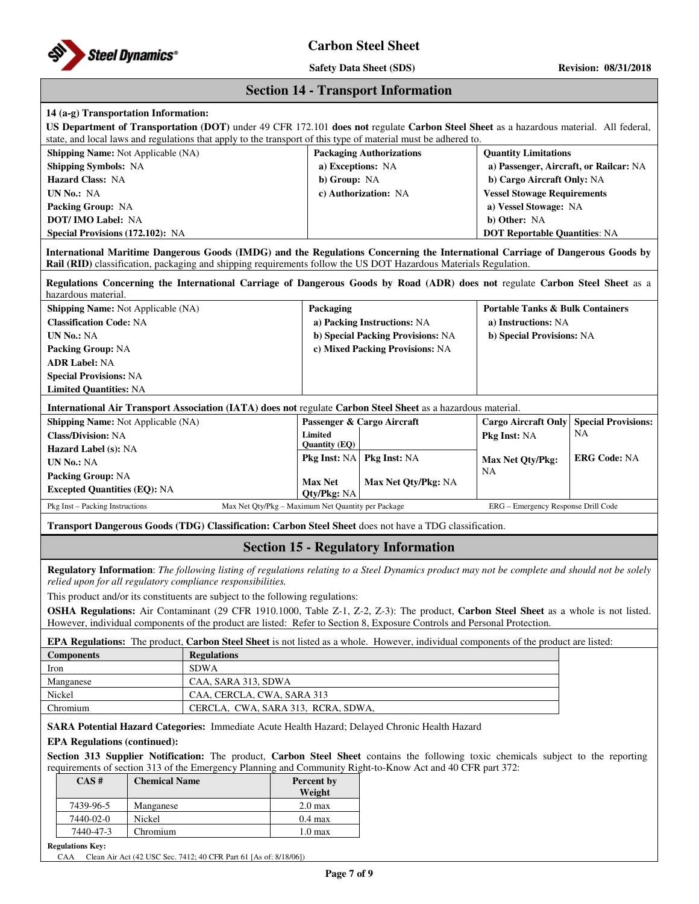

**Safety Data Sheet (SDS) Revision: 08/31/2018**

|  | <b>Section 14 - Transport Information</b> |  |
|--|-------------------------------------------|--|
|--|-------------------------------------------|--|

## **14 (a-g) Transportation Information:**

| т (a-g) Transportation miorination.                                                                                                                                                                                                                                     |                                                                                                                                                                                                               |                            |                                                                                |                                                                                                                                                                                                                                                   |                                             |                            |  |
|-------------------------------------------------------------------------------------------------------------------------------------------------------------------------------------------------------------------------------------------------------------------------|---------------------------------------------------------------------------------------------------------------------------------------------------------------------------------------------------------------|----------------------------|--------------------------------------------------------------------------------|---------------------------------------------------------------------------------------------------------------------------------------------------------------------------------------------------------------------------------------------------|---------------------------------------------|----------------------------|--|
|                                                                                                                                                                                                                                                                         |                                                                                                                                                                                                               |                            |                                                                                | US Department of Transportation (DOT) under 49 CFR 172.101 does not regulate Carbon Steel Sheet as a hazardous material. All federal,                                                                                                             |                                             |                            |  |
| state, and local laws and regulations that apply to the transport of this type of material must be adhered to.<br>Shipping Name: Not Applicable (NA)                                                                                                                    |                                                                                                                                                                                                               |                            |                                                                                | <b>Packaging Authorizations</b>                                                                                                                                                                                                                   | <b>Quantity Limitations</b>                 |                            |  |
| <b>Shipping Symbols: NA</b>                                                                                                                                                                                                                                             |                                                                                                                                                                                                               |                            | a) Exceptions: NA                                                              |                                                                                                                                                                                                                                                   | a) Passenger, Aircraft, or Railcar: NA      |                            |  |
| <b>Hazard Class: NA</b>                                                                                                                                                                                                                                                 |                                                                                                                                                                                                               |                            | b) Group: NA                                                                   |                                                                                                                                                                                                                                                   | b) Cargo Aircraft Only: NA                  |                            |  |
| UN No.: NA                                                                                                                                                                                                                                                              |                                                                                                                                                                                                               |                            |                                                                                | c) Authorization: NA                                                                                                                                                                                                                              | <b>Vessel Stowage Requirements</b>          |                            |  |
| Packing Group: NA                                                                                                                                                                                                                                                       |                                                                                                                                                                                                               |                            |                                                                                |                                                                                                                                                                                                                                                   | a) Vessel Stowage: NA                       |                            |  |
| <b>DOT/IMO Label: NA</b>                                                                                                                                                                                                                                                |                                                                                                                                                                                                               |                            |                                                                                |                                                                                                                                                                                                                                                   | b) Other: NA                                |                            |  |
| Special Provisions (172.102): NA                                                                                                                                                                                                                                        |                                                                                                                                                                                                               |                            |                                                                                |                                                                                                                                                                                                                                                   | <b>DOT Reportable Quantities: NA</b>        |                            |  |
|                                                                                                                                                                                                                                                                         |                                                                                                                                                                                                               |                            |                                                                                |                                                                                                                                                                                                                                                   |                                             |                            |  |
|                                                                                                                                                                                                                                                                         |                                                                                                                                                                                                               |                            |                                                                                | International Maritime Dangerous Goods (IMDG) and the Regulations Concerning the International Carriage of Dangerous Goods by<br>Rail (RID) classification, packaging and shipping requirements follow the US DOT Hazardous Materials Regulation. |                                             |                            |  |
| hazardous material.                                                                                                                                                                                                                                                     |                                                                                                                                                                                                               |                            |                                                                                | Regulations Concerning the International Carriage of Dangerous Goods by Road (ADR) does not regulate Carbon Steel Sheet as a                                                                                                                      |                                             |                            |  |
| <b>Shipping Name: Not Applicable (NA)</b>                                                                                                                                                                                                                               |                                                                                                                                                                                                               |                            | Packaging                                                                      |                                                                                                                                                                                                                                                   | <b>Portable Tanks &amp; Bulk Containers</b> |                            |  |
| <b>Classification Code: NA</b>                                                                                                                                                                                                                                          |                                                                                                                                                                                                               |                            |                                                                                | a) Packing Instructions: NA                                                                                                                                                                                                                       | a) Instructions: NA                         |                            |  |
| <b>UN No.: NA</b>                                                                                                                                                                                                                                                       |                                                                                                                                                                                                               |                            |                                                                                | b) Special Packing Provisions: NA                                                                                                                                                                                                                 | b) Special Provisions: NA                   |                            |  |
| <b>Packing Group: NA</b>                                                                                                                                                                                                                                                |                                                                                                                                                                                                               |                            |                                                                                | c) Mixed Packing Provisions: NA                                                                                                                                                                                                                   |                                             |                            |  |
| <b>ADR Label: NA</b>                                                                                                                                                                                                                                                    |                                                                                                                                                                                                               |                            |                                                                                |                                                                                                                                                                                                                                                   |                                             |                            |  |
| <b>Special Provisions: NA</b>                                                                                                                                                                                                                                           |                                                                                                                                                                                                               |                            |                                                                                |                                                                                                                                                                                                                                                   |                                             |                            |  |
| <b>Limited Quantities: NA</b>                                                                                                                                                                                                                                           |                                                                                                                                                                                                               |                            |                                                                                |                                                                                                                                                                                                                                                   |                                             |                            |  |
|                                                                                                                                                                                                                                                                         |                                                                                                                                                                                                               |                            |                                                                                | International Air Transport Association (IATA) does not regulate Carbon Steel Sheet as a hazardous material.                                                                                                                                      |                                             |                            |  |
| <b>Shipping Name:</b> Not Applicable (NA)                                                                                                                                                                                                                               |                                                                                                                                                                                                               |                            |                                                                                | Passenger & Cargo Aircraft                                                                                                                                                                                                                        | <b>Cargo Aircraft Only</b>                  | <b>Special Provisions:</b> |  |
| <b>Class/Division: NA</b>                                                                                                                                                                                                                                               |                                                                                                                                                                                                               |                            | Limited                                                                        |                                                                                                                                                                                                                                                   | Pkg Inst: NA                                | NA                         |  |
| <b>Hazard Label (s): NA</b>                                                                                                                                                                                                                                             |                                                                                                                                                                                                               |                            | <b>Quantity (EQ)</b>                                                           |                                                                                                                                                                                                                                                   |                                             |                            |  |
| <b>UN No.: NA</b>                                                                                                                                                                                                                                                       |                                                                                                                                                                                                               | <b>Pkg Inst: NA</b>        | Pkg Inst: NA                                                                   | Max Net Qty/Pkg:                                                                                                                                                                                                                                  | <b>ERG Code: NA</b>                         |                            |  |
| <b>Packing Group: NA</b>                                                                                                                                                                                                                                                |                                                                                                                                                                                                               | <b>Max Net</b>             |                                                                                | NA                                                                                                                                                                                                                                                |                                             |                            |  |
| <b>Excepted Quantities (EQ): NA</b>                                                                                                                                                                                                                                     |                                                                                                                                                                                                               | <b>Oty/Pkg: NA</b>         | Max Net Qty/Pkg: NA                                                            |                                                                                                                                                                                                                                                   |                                             |                            |  |
| Pkg Inst - Packing Instructions<br>Max Net Qty/Pkg - Maximum Net Quantity per Package                                                                                                                                                                                   |                                                                                                                                                                                                               |                            |                                                                                | ERG - Emergency Response Drill Code                                                                                                                                                                                                               |                                             |                            |  |
|                                                                                                                                                                                                                                                                         |                                                                                                                                                                                                               |                            |                                                                                | Transport Dangerous Goods (TDG) Classification: Carbon Steel Sheet does not have a TDG classification.                                                                                                                                            |                                             |                            |  |
|                                                                                                                                                                                                                                                                         |                                                                                                                                                                                                               |                            |                                                                                | <b>Section 15 - Regulatory Information</b>                                                                                                                                                                                                        |                                             |                            |  |
|                                                                                                                                                                                                                                                                         | Regulatory Information: The following listing of regulations relating to a Steel Dynamics product may not be complete and should not be solely<br>relied upon for all regulatory compliance responsibilities. |                            |                                                                                |                                                                                                                                                                                                                                                   |                                             |                            |  |
|                                                                                                                                                                                                                                                                         |                                                                                                                                                                                                               |                            | This product and/or its constituents are subject to the following regulations: |                                                                                                                                                                                                                                                   |                                             |                            |  |
|                                                                                                                                                                                                                                                                         |                                                                                                                                                                                                               |                            |                                                                                | OSHA Regulations: Air Contaminant (29 CFR 1910.1000, Table Z-1, Z-2, Z-3): The product, Carbon Steel Sheet as a whole is not listed.                                                                                                              |                                             |                            |  |
| However, individual components of the product are listed: Refer to Section 8, Exposure Controls and Personal Protection.<br><b>EPA Regulations:</b> The product, Carbon Steel Sheet is not listed as a whole. However, individual components of the product are listed: |                                                                                                                                                                                                               |                            |                                                                                |                                                                                                                                                                                                                                                   |                                             |                            |  |
| <b>Regulations</b><br><b>Components</b>                                                                                                                                                                                                                                 |                                                                                                                                                                                                               |                            |                                                                                |                                                                                                                                                                                                                                                   |                                             |                            |  |
| <b>SDWA</b><br>Iron                                                                                                                                                                                                                                                     |                                                                                                                                                                                                               |                            |                                                                                |                                                                                                                                                                                                                                                   |                                             |                            |  |
| Manganese<br>CAA, SARA 313, SDWA                                                                                                                                                                                                                                        |                                                                                                                                                                                                               |                            |                                                                                |                                                                                                                                                                                                                                                   |                                             |                            |  |
| Nickel                                                                                                                                                                                                                                                                  |                                                                                                                                                                                                               | CAA, CERCLA, CWA, SARA 313 |                                                                                |                                                                                                                                                                                                                                                   |                                             |                            |  |
| Chromium                                                                                                                                                                                                                                                                | CERCLA, CWA, SARA 313, RCRA, SDWA,                                                                                                                                                                            |                            |                                                                                |                                                                                                                                                                                                                                                   |                                             |                            |  |
|                                                                                                                                                                                                                                                                         |                                                                                                                                                                                                               |                            |                                                                                | SARA Potential Hazard Categories: Immediate Acute Health Hazard; Delayed Chronic Health Hazard                                                                                                                                                    |                                             |                            |  |
| <b>EPA Regulations (continued):</b>                                                                                                                                                                                                                                     |                                                                                                                                                                                                               |                            |                                                                                |                                                                                                                                                                                                                                                   |                                             |                            |  |
| Section 313 Supplier Notification: The product, Carbon Steel Sheet contains the following toxic chemicals subject to the reporting                                                                                                                                      |                                                                                                                                                                                                               |                            |                                                                                |                                                                                                                                                                                                                                                   |                                             |                            |  |
|                                                                                                                                                                                                                                                                         |                                                                                                                                                                                                               |                            |                                                                                | requirements of section 313 of the Emergency Planning and Community Right-to-Know Act and 40 CFR part 372:                                                                                                                                        |                                             |                            |  |
| CAS#                                                                                                                                                                                                                                                                    | <b>Chemical Name</b><br>Percent by<br>Weight                                                                                                                                                                  |                            |                                                                                |                                                                                                                                                                                                                                                   |                                             |                            |  |
| 7439-96-5                                                                                                                                                                                                                                                               | Manganese                                                                                                                                                                                                     |                            | 2.0 <sub>max</sub>                                                             |                                                                                                                                                                                                                                                   |                                             |                            |  |

**Regulations Key:** 

CAA Clean Air Act (42 USC Sec. 7412; 40 CFR Part 61 [As of: 8/18/06])

7440-02-0 Nickel 0.4 max 7440-47-3 Chromium 1.0 max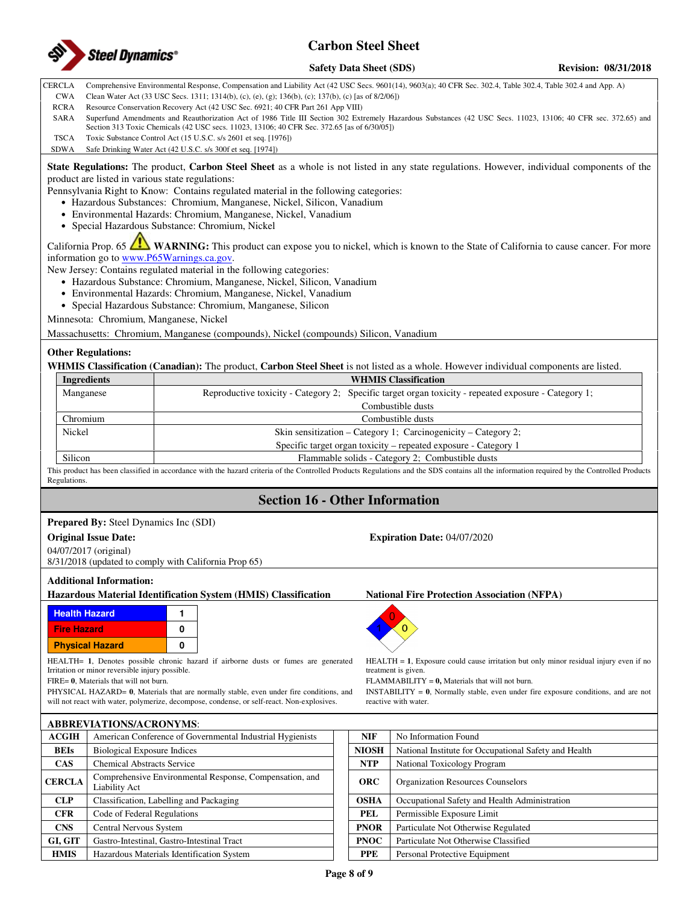

**Safety Data Sheet (SDS)** Revision: 08/31/2018

CERCLA Comprehensive Environmental Response, Compensation and Liability Act (42 USC Secs. 9601(14), 9603(a); 40 CFR Sec. 302.4, Table 302.4, Table 302.4 and App. A)

- CWA Clean Water Act (33 USC Secs. 1311; 1314(b), (c), (e), (g); 136(b), (c); 137(b), (c) [as of 8/2/06])
- RCRA Resource Conservation Recovery Act (42 USC Sec. 6921; 40 CFR Part 261 App VIII)

SARA Superfund Amendments and Reauthorization Act of 1986 Title III Section 302 Extremely Hazardous Substances (42 USC Secs. 11023, 13106; 40 CFR sec. 372.65) and Section 313 Toxic Chemicals (42 USC secs. 11023, 13106; 40 CFR Sec. 372.65 [as of 6/30/05])

TSCA Toxic Substance Control Act (15 U.S.C. s/s 2601 et seq. [1976])

SDWA Safe Drinking Water Act (42 U.S.C. s/s 300f et seq. [1974])

**State Regulations:** The product, **Carbon Steel Sheet** as a whole is not listed in any state regulations. However, individual components of the product are listed in various state regulations:

Pennsylvania Right to Know: Contains regulated material in the following categories:

- Hazardous Substances: Chromium, Manganese, Nickel, Silicon, Vanadium
- Environmental Hazards: Chromium, Manganese, Nickel, Vanadium
- Special Hazardous Substance: Chromium, Nickel

California Prop. 65 **WARNING:** This product can expose you to nickel, which is known to the State of California to cause cancer. For more information go to www.P65Warnings.ca.gov.

New Jersey: Contains regulated material in the following categories:

- Hazardous Substance: Chromium, Manganese, Nickel, Silicon, Vanadium
- Environmental Hazards: Chromium, Manganese, Nickel, Vanadium
- Special Hazardous Substance: Chromium, Manganese, Silicon

Minnesota: Chromium, Manganese, Nickel

Massachusetts: Chromium, Manganese (compounds), Nickel (compounds) Silicon, Vanadium

#### **Other Regulations:**

**WHMIS Classification (Canadian):** The product, **Carbon Steel Sheet** is not listed as a whole. However individual components are listed.

| <b>WHMIS Classification</b>                                                                          |  |  |  |
|------------------------------------------------------------------------------------------------------|--|--|--|
| Reproductive toxicity - Category 2; Specific target organ toxicity - repeated exposure - Category 1; |  |  |  |
| Combustible dusts                                                                                    |  |  |  |
| Combustible dusts                                                                                    |  |  |  |
| Skin sensitization – Category 1; Carcinogenicity – Category 2;                                       |  |  |  |
| Specific target organ toxicity – repeated exposure - Category 1                                      |  |  |  |
| Flammable solids - Category 2; Combustible dusts                                                     |  |  |  |
|                                                                                                      |  |  |  |

This product has been classified in accordance with the hazard criteria of the Controlled Products Regulations and the SDS contains all the information required by the Controlled Products **Regulations** 

## **Section 16 - Other Information**

#### **Prepared By:** Steel Dynamics Inc (SDI)

#### **Original Issue Date: Expiration Date:** 04/07/2020

04/07/2017 (original) 8/31/2018 (updated to comply with California Prop 65)

#### **Additional Information:**

**Hazardous Material Identification System (HMIS) Classification National Fire Protection Association (NFPA)** 



**ABBREVIATIONS/ACRONYMS**:

HEALTH= **1**, Denotes possible chronic hazard if airborne dusts or fumes are generated Irritation or minor reversible injury possible.

FIRE= **0**, Materials that will not burn.

PHYSICAL HAZARD= **0**, Materials that are normally stable, even under fire conditions, and will not react with water, polymerize, decompose, condense, or self-react. Non-explosives.

|               | ADDKE VIA HONS/ACKON HMS.                                                |              |                                                       |
|---------------|--------------------------------------------------------------------------|--------------|-------------------------------------------------------|
| <b>ACGIH</b>  | American Conference of Governmental Industrial Hygienists                | <b>NIF</b>   | No Information Found                                  |
| <b>BEIs</b>   | <b>Biological Exposure Indices</b>                                       | <b>NIOSH</b> | National Institute for Occupational Safety and Health |
| <b>CAS</b>    | <b>Chemical Abstracts Service</b>                                        | <b>NTP</b>   | National Toxicology Program                           |
| <b>CERCLA</b> | Comprehensive Environmental Response, Compensation, and<br>Liability Act | <b>ORC</b>   | <b>Organization Resources Counselors</b>              |
| CLP           | Classification, Labelling and Packaging                                  | <b>OSHA</b>  | Occupational Safety and Health Administration         |
| <b>CFR</b>    | Code of Federal Regulations                                              | <b>PEL</b>   | Permissible Exposure Limit                            |
| <b>CNS</b>    | Central Nervous System                                                   | <b>PNOR</b>  | Particulate Not Otherwise Regulated                   |
| GI, GIT       | Gastro-Intestinal, Gastro-Intestinal Tract                               | <b>PNOC</b>  | Particulate Not Otherwise Classified                  |
| <b>HMIS</b>   | Hazardous Materials Identification System                                | <b>PPE</b>   | Personal Protective Equipment                         |



HEALTH = 1, Exposure could cause irritation but only minor residual injury even if no treatment is given.

FLAMMABILITY = **0,** Materials that will not burn.

INSTABILITY = **0**, Normally stable, even under fire exposure conditions, and are not reactive with water.

| <b>NIF</b>   | No Information Found                                  |
|--------------|-------------------------------------------------------|
| <b>NIOSH</b> | National Institute for Occupational Safety and Health |
| <b>NTP</b>   | National Toxicology Program                           |
| <b>ORC</b>   | <b>Organization Resources Counselors</b>              |
| <b>OSHA</b>  | Occupational Safety and Health Administration         |
| PEL.         | Permissible Exposure Limit                            |
| <b>PNOR</b>  | Particulate Not Otherwise Regulated                   |
| <b>PNOC</b>  | Particulate Not Otherwise Classified                  |
| <b>PPE</b>   | Personal Protective Equipment                         |